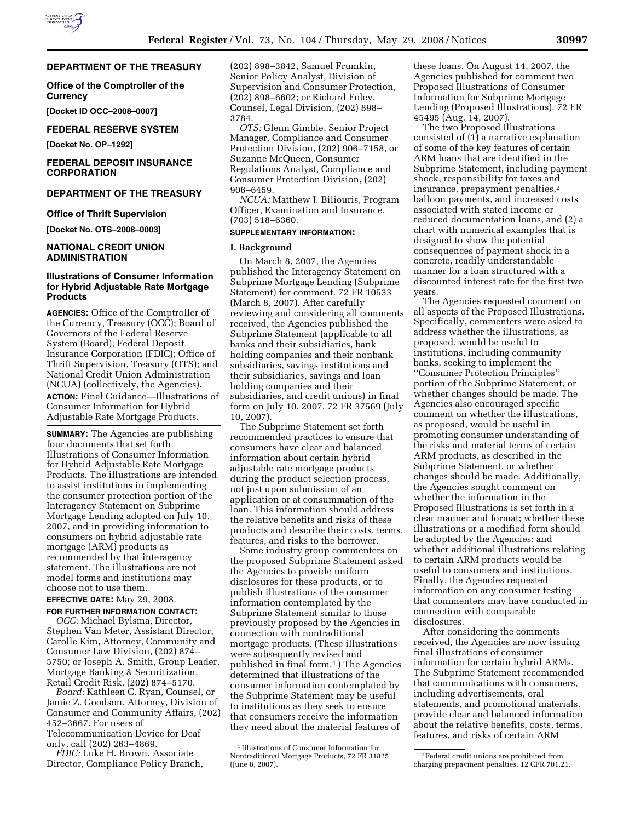## **DEPARTMENT OF THE TREASURY**

**Office of the Comptroller of the Currency** 

**[Docket ID OCC–2008–0007]** 

### **FEDERAL RESERVE SYSTEM**

**[Docket No. OP–1292]** 

## **FEDERAL DEPOSIT INSURANCE CORPORATION**

## **DEPARTMENT OF THE TREASURY**

#### **Office of Thrift Supervision**

**[Docket No. OTS–2008–0003]** 

## **NATIONAL CREDIT UNION ADMINISTRATION**

## **Illustrations of Consumer Information for Hybrid Adjustable Rate Mortgage Products**

**AGENCIES:** Office of the Comptroller of the Currency, Treasury (OCC); Board of Governors of the Federal Reserve System (Board); Federal Deposit Insurance Corporation (FDIC); Office of Thrift Supervision, Treasury (OTS); and National Credit Union Administration (NCUA) (collectively, the Agencies). **ACTION:** Final Guidance—Illustrations of Consumer Information for Hybrid Adjustable Rate Mortgage Products.

**SUMMARY:** The Agencies are publishing four documents that set forth Illustrations of Consumer Information for Hybrid Adjustable Rate Mortgage Products. The illustrations are intended to assist institutions in implementing the consumer protection portion of the Interagency Statement on Subprime Mortgage Lending adopted on July 10, 2007, and in providing information to consumers on hybrid adjustable rate mortgage (ARM) products as recommended by that interagency statement. The illustrations are not model forms and institutions may choose not to use them.

### **EFFECTIVE DATE:** May 29, 2008.

**FOR FURTHER INFORMATION CONTACT:** 

*OCC:* Michael Bylsma, Director, Stephen Van Meter, Assistant Director, Carolle Kim, Attorney, Community and Consumer Law Division, (202) 874– 5750; or Joseph A. Smith, Group Leader, Mortgage Banking & Securitization, Retail Credit Risk, (202) 874–5170.

*Board:* Kathleen C. Ryan, Counsel, or Jamie Z. Goodson, Attorney, Division of Consumer and Community Affairs, (202) 452–3667. For users of Telecommunication Device for Deaf only, call (202) 263–4869.

*FDIC:* Luke H. Brown, Associate Director, Compliance Policy Branch, (202) 898–3842, Samuel Frumkin, Senior Policy Analyst, Division of Supervision and Consumer Protection, (202) 898–6602; or Richard Foley, Counsel, Legal Division, (202) 898– 3784.

*OTS:* Glenn Gimble, Senior Project Manager, Compliance and Consumer Protection Division, (202) 906–7158, or Suzanne McQueen, Consumer Regulations Analyst, Compliance and Consumer Protection Division, (202) 906–6459.

*NCUA:* Matthew J. Biliouris, Program Officer, Examination and Insurance, (703) 518–6360.

### **SUPPLEMENTARY INFORMATION:**

### **I. Background**

On March 8, 2007, the Agencies published the Interagency Statement on Subprime Mortgage Lending (Subprime Statement) for comment. 72 FR 10533 (March 8, 2007). After carefully reviewing and considering all comments received, the Agencies published the Subprime Statement (applicable to all banks and their subsidiaries, bank holding companies and their nonbank subsidiaries, savings institutions and their subsidiaries, savings and loan holding companies and their subsidiaries, and credit unions) in final form on July 10, 2007. 72 FR 37569 (July 10, 2007).

The Subprime Statement set forth recommended practices to ensure that consumers have clear and balanced information about certain hybrid adjustable rate mortgage products during the product selection process, not just upon submission of an application or at consummation of the loan. This information should address the relative benefits and risks of these products and describe their costs, terms, features, and risks to the borrower.

Some industry group commenters on the proposed Subprime Statement asked the Agencies to provide uniform disclosures for these products, or to publish illustrations of the consumer information contemplated by the Subprime Statement similar to those previously proposed by the Agencies in connection with nontraditional mortgage products. (These illustrations were subsequently revised and published in final form.1 ) The Agencies determined that illustrations of the consumer information contemplated by the Subprime Statement may be useful to institutions as they seek to ensure that consumers receive the information they need about the material features of

these loans. On August 14, 2007, the Agencies published for comment two Proposed Illustrations of Consumer Information for Subprime Mortgage Lending (Proposed Illustrations). 72 FR 45495 (Aug. 14, 2007).

The two Proposed Illustrations consisted of (1) a narrative explanation of some of the key features of certain ARM loans that are identified in the Subprime Statement, including payment shock, responsibility for taxes and insurance, prepayment penalties,2 balloon payments, and increased costs associated with stated income or reduced documentation loans, and (2) a chart with numerical examples that is designed to show the potential consequences of payment shock in a concrete, readily understandable manner for a loan structured with a discounted interest rate for the first two years.

The Agencies requested comment on all aspects of the Proposed Illustrations. Specifically, commenters were asked to address whether the illustrations, as proposed, would be useful to institutions, including community banks, seeking to implement the ''Consumer Protection Principles'' portion of the Subprime Statement, or whether changes should be made. The Agencies also encouraged specific comment on whether the illustrations, as proposed, would be useful in promoting consumer understanding of the risks and material terms of certain ARM products, as described in the Subprime Statement, or whether changes should be made. Additionally, the Agencies sought comment on whether the information in the Proposed Illustrations is set forth in a clear manner and format; whether these illustrations or a modified form should be adopted by the Agencies; and whether additional illustrations relating to certain ARM products would be useful to consumers and institutions. Finally, the Agencies requested information on any consumer testing that commenters may have conducted in connection with comparable disclosures.

After considering the comments received, the Agencies are now issuing final illustrations of consumer information for certain hybrid ARMs. The Subprime Statement recommended that communications with consumers, including advertisements, oral statements, and promotional materials, provide clear and balanced information about the relative benefits, costs, terms, features, and risks of certain ARM

<sup>1</sup> Illustrations of Consumer Information for Nontraditional Mortgage Products, 72 FR 31825 (June 8, 2007).

<sup>2</sup>Federal credit unions are prohibited from charging prepayment penalties. 12 CFR 701.21.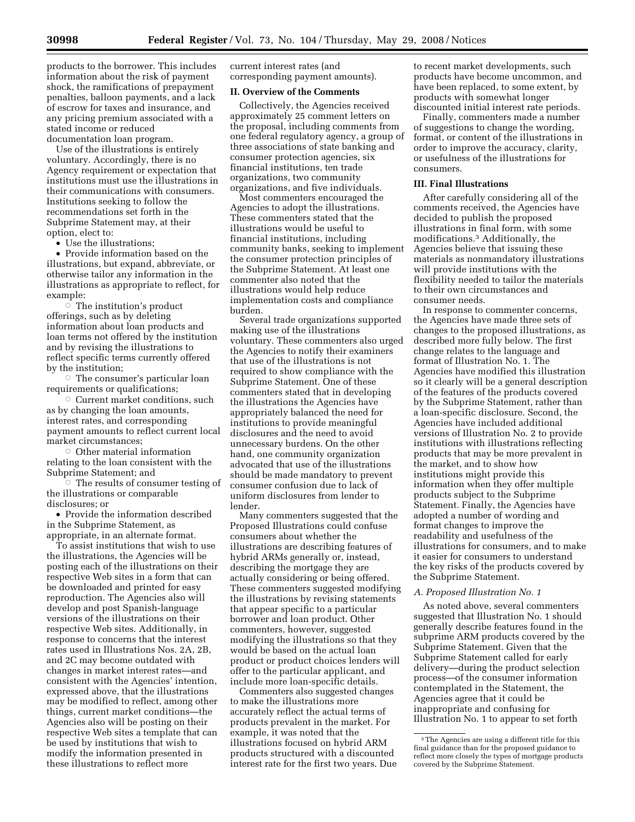products to the borrower. This includes information about the risk of payment shock, the ramifications of prepayment penalties, balloon payments, and a lack of escrow for taxes and insurance, and any pricing premium associated with a stated income or reduced documentation loan program.

Use of the illustrations is entirely voluntary. Accordingly, there is no Agency requirement or expectation that institutions must use the illustrations in their communications with consumers. Institutions seeking to follow the recommendations set forth in the Subprime Statement may, at their option, elect to:

• Use the illustrations;

• Provide information based on the illustrations, but expand, abbreviate, or otherwise tailor any information in the illustrations as appropriate to reflect, for example:

 $\overline{\circ}$  The institution's product offerings, such as by deleting information about loan products and loan terms not offered by the institution and by revising the illustrations to reflect specific terms currently offered by the institution;

 $\circ$  The consumer's particular loan requirements or qualifications;

 $\circ$  Current market conditions, such as by changing the loan amounts, interest rates, and corresponding payment amounts to reflect current local market circumstances;

 $\circ$  Other material information relating to the loan consistent with the Subprime Statement; and

 $\circ$  The results of consumer testing of the illustrations or comparable disclosures; or

• Provide the information described in the Subprime Statement, as appropriate, in an alternate format.

To assist institutions that wish to use the illustrations, the Agencies will be posting each of the illustrations on their respective Web sites in a form that can be downloaded and printed for easy reproduction. The Agencies also will develop and post Spanish-language versions of the illustrations on their respective Web sites. Additionally, in response to concerns that the interest rates used in Illustrations Nos. 2A, 2B, and 2C may become outdated with changes in market interest rates—and consistent with the Agencies' intention, expressed above, that the illustrations may be modified to reflect, among other things, current market conditions—the Agencies also will be posting on their respective Web sites a template that can be used by institutions that wish to modify the information presented in these illustrations to reflect more

current interest rates (and corresponding payment amounts).

### **II. Overview of the Comments**

Collectively, the Agencies received approximately 25 comment letters on the proposal, including comments from one federal regulatory agency, a group of three associations of state banking and consumer protection agencies, six financial institutions, ten trade organizations, two community organizations, and five individuals.

Most commenters encouraged the Agencies to adopt the illustrations. These commenters stated that the illustrations would be useful to financial institutions, including community banks, seeking to implement the consumer protection principles of the Subprime Statement. At least one commenter also noted that the illustrations would help reduce implementation costs and compliance burden.

Several trade organizations supported making use of the illustrations voluntary. These commenters also urged the Agencies to notify their examiners that use of the illustrations is not required to show compliance with the Subprime Statement. One of these commenters stated that in developing the illustrations the Agencies have appropriately balanced the need for institutions to provide meaningful disclosures and the need to avoid unnecessary burdens. On the other hand, one community organization advocated that use of the illustrations should be made mandatory to prevent consumer confusion due to lack of uniform disclosures from lender to lender.

Many commenters suggested that the Proposed Illustrations could confuse consumers about whether the illustrations are describing features of hybrid ARMs generally or, instead, describing the mortgage they are actually considering or being offered. These commenters suggested modifying the illustrations by revising statements that appear specific to a particular borrower and loan product. Other commenters, however, suggested modifying the illustrations so that they would be based on the actual loan product or product choices lenders will offer to the particular applicant, and include more loan-specific details.

Commenters also suggested changes to make the illustrations more accurately reflect the actual terms of products prevalent in the market. For example, it was noted that the illustrations focused on hybrid ARM products structured with a discounted interest rate for the first two years. Due to recent market developments, such products have become uncommon, and have been replaced, to some extent, by products with somewhat longer discounted initial interest rate periods.

Finally, commenters made a number of suggestions to change the wording, format, or content of the illustrations in order to improve the accuracy, clarity, or usefulness of the illustrations for consumers.

## **III. Final Illustrations**

After carefully considering all of the comments received, the Agencies have decided to publish the proposed illustrations in final form, with some modifications.3 Additionally, the Agencies believe that issuing these materials as nonmandatory illustrations will provide institutions with the flexibility needed to tailor the materials to their own circumstances and consumer needs.

In response to commenter concerns, the Agencies have made three sets of changes to the proposed illustrations, as described more fully below. The first change relates to the language and format of Illustration No. 1. The Agencies have modified this illustration so it clearly will be a general description of the features of the products covered by the Subprime Statement, rather than a loan-specific disclosure. Second, the Agencies have included additional versions of Illustration No. 2 to provide institutions with illustrations reflecting products that may be more prevalent in the market, and to show how institutions might provide this information when they offer multiple products subject to the Subprime Statement. Finally, the Agencies have adopted a number of wording and format changes to improve the readability and usefulness of the illustrations for consumers, and to make it easier for consumers to understand the key risks of the products covered by the Subprime Statement.

#### *A. Proposed Illustration No. 1*

As noted above, several commenters suggested that Illustration No. 1 should generally describe features found in the subprime ARM products covered by the Subprime Statement. Given that the Subprime Statement called for early delivery—during the product selection process—of the consumer information contemplated in the Statement, the Agencies agree that it could be inappropriate and confusing for Illustration No. 1 to appear to set forth

<sup>3</sup>The Agencies are using a different title for this final guidance than for the proposed guidance to reflect more closely the types of mortgage products covered by the Subprime Statement.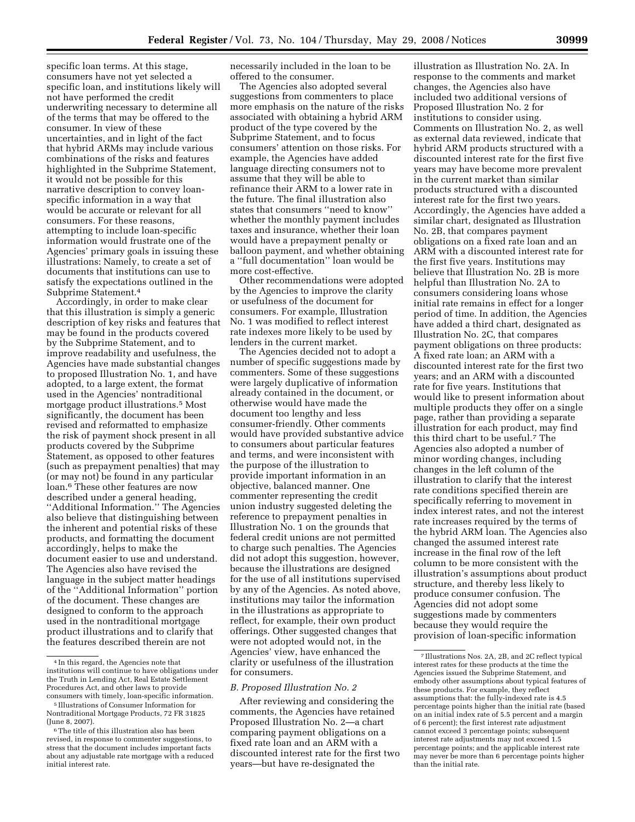specific loan terms. At this stage, consumers have not yet selected a specific loan, and institutions likely will not have performed the credit underwriting necessary to determine all of the terms that may be offered to the consumer. In view of these uncertainties, and in light of the fact that hybrid ARMs may include various combinations of the risks and features highlighted in the Subprime Statement, it would not be possible for this narrative description to convey loanspecific information in a way that would be accurate or relevant for all consumers. For these reasons, attempting to include loan-specific information would frustrate one of the Agencies' primary goals in issuing these illustrations: Namely, to create a set of documents that institutions can use to satisfy the expectations outlined in the Subprime Statement.4

Accordingly, in order to make clear that this illustration is simply a generic description of key risks and features that may be found in the products covered by the Subprime Statement, and to improve readability and usefulness, the Agencies have made substantial changes to proposed Illustration No. 1, and have adopted, to a large extent, the format used in the Agencies' nontraditional mortgage product illustrations.5 Most significantly, the document has been revised and reformatted to emphasize the risk of payment shock present in all products covered by the Subprime Statement, as opposed to other features (such as prepayment penalties) that may (or may not) be found in any particular loan.6 These other features are now described under a general heading, ''Additional Information.'' The Agencies also believe that distinguishing between the inherent and potential risks of these products, and formatting the document accordingly, helps to make the document easier to use and understand. The Agencies also have revised the language in the subject matter headings of the ''Additional Information'' portion of the document. These changes are designed to conform to the approach used in the nontraditional mortgage product illustrations and to clarify that the features described therein are not

necessarily included in the loan to be offered to the consumer.

The Agencies also adopted several suggestions from commenters to place more emphasis on the nature of the risks associated with obtaining a hybrid ARM product of the type covered by the Subprime Statement, and to focus consumers' attention on those risks. For example, the Agencies have added language directing consumers not to assume that they will be able to refinance their ARM to a lower rate in the future. The final illustration also states that consumers ''need to know'' whether the monthly payment includes taxes and insurance, whether their loan would have a prepayment penalty or balloon payment, and whether obtaining a ''full documentation'' loan would be more cost-effective.

Other recommendations were adopted by the Agencies to improve the clarity or usefulness of the document for consumers. For example, Illustration No. 1 was modified to reflect interest rate indexes more likely to be used by lenders in the current market.

The Agencies decided not to adopt a number of specific suggestions made by commenters. Some of these suggestions were largely duplicative of information already contained in the document, or otherwise would have made the document too lengthy and less consumer-friendly. Other comments would have provided substantive advice to consumers about particular features and terms, and were inconsistent with the purpose of the illustration to provide important information in an objective, balanced manner. One commenter representing the credit union industry suggested deleting the reference to prepayment penalties in Illustration No. 1 on the grounds that federal credit unions are not permitted to charge such penalties. The Agencies did not adopt this suggestion, however, because the illustrations are designed for the use of all institutions supervised by any of the Agencies. As noted above, institutions may tailor the information in the illustrations as appropriate to reflect, for example, their own product offerings. Other suggested changes that were not adopted would not, in the Agencies' view, have enhanced the clarity or usefulness of the illustration for consumers.

### *B. Proposed Illustration No. 2*

After reviewing and considering the comments, the Agencies have retained Proposed Illustration No. 2—a chart comparing payment obligations on a fixed rate loan and an ARM with a discounted interest rate for the first two years—but have re-designated the

illustration as Illustration No. 2A. In response to the comments and market changes, the Agencies also have included two additional versions of Proposed Illustration No. 2 for institutions to consider using. Comments on Illustration No. 2, as well as external data reviewed, indicate that hybrid ARM products structured with a discounted interest rate for the first five years may have become more prevalent in the current market than similar products structured with a discounted interest rate for the first two years. Accordingly, the Agencies have added a similar chart, designated as Illustration No. 2B, that compares payment obligations on a fixed rate loan and an ARM with a discounted interest rate for the first five years. Institutions may believe that Illustration No. 2B is more helpful than Illustration No. 2A to consumers considering loans whose initial rate remains in effect for a longer period of time. In addition, the Agencies have added a third chart, designated as Illustration No. 2C, that compares payment obligations on three products: A fixed rate loan; an ARM with a discounted interest rate for the first two years; and an ARM with a discounted rate for five years. Institutions that would like to present information about multiple products they offer on a single page, rather than providing a separate illustration for each product, may find this third chart to be useful.7 The Agencies also adopted a number of minor wording changes, including changes in the left column of the illustration to clarify that the interest rate conditions specified therein are specifically referring to movement in index interest rates, and not the interest rate increases required by the terms of the hybrid ARM loan. The Agencies also changed the assumed interest rate increase in the final row of the left column to be more consistent with the illustration's assumptions about product structure, and thereby less likely to produce consumer confusion. The Agencies did not adopt some suggestions made by commenters because they would require the provision of loan-specific information

<sup>4</sup> In this regard, the Agencies note that institutions will continue to have obligations under the Truth in Lending Act, Real Estate Settlement Procedures Act, and other laws to provide consumers with timely, loan-specific information.

<sup>5</sup> Illustrations of Consumer Information for Nontraditional Mortgage Products, 72 FR 31825 (June 8, 2007).

 $^{\rm 6}$  The title of this illustration also has been revised, in response to commenter suggestions, to stress that the document includes important facts about any adjustable rate mortgage with a reduced initial interest rate.

<sup>7</sup> Illustrations Nos. 2A, 2B, and 2C reflect typical interest rates for these products at the time the Agencies issued the Subprime Statement, and embody other assumptions about typical features of these products. For example, they reflect assumptions that: the fully-indexed rate is 4.5 percentage points higher than the initial rate (based on an initial index rate of 5.5 percent and a margin of 6 percent); the first interest rate adjustment cannot exceed 3 percentage points; subsequent interest rate adjustments may not exceed 1.5 percentage points; and the applicable interest rate may never be more than 6 percentage points higher than the initial rate.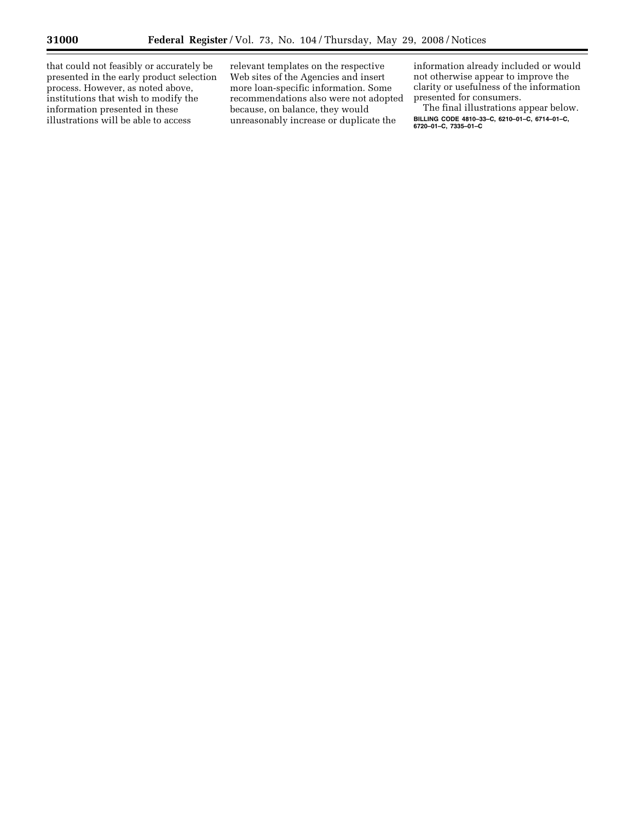-

that could not feasibly or accurately be presented in the early product selection process. However, as noted above, institutions that wish to modify the information presented in these illustrations will be able to access

relevant templates on the respective Web sites of the Agencies and insert more loan-specific information. Some recommendations also were not adopted because, on balance, they would unreasonably increase or duplicate the

information already included or would not otherwise appear to improve the clarity or usefulness of the information presented for consumers.

The final illustrations appear below. **BILLING CODE 4810–33–C, 6210–01–C, 6714–01–C, 6720–01–C, 7335–01–C**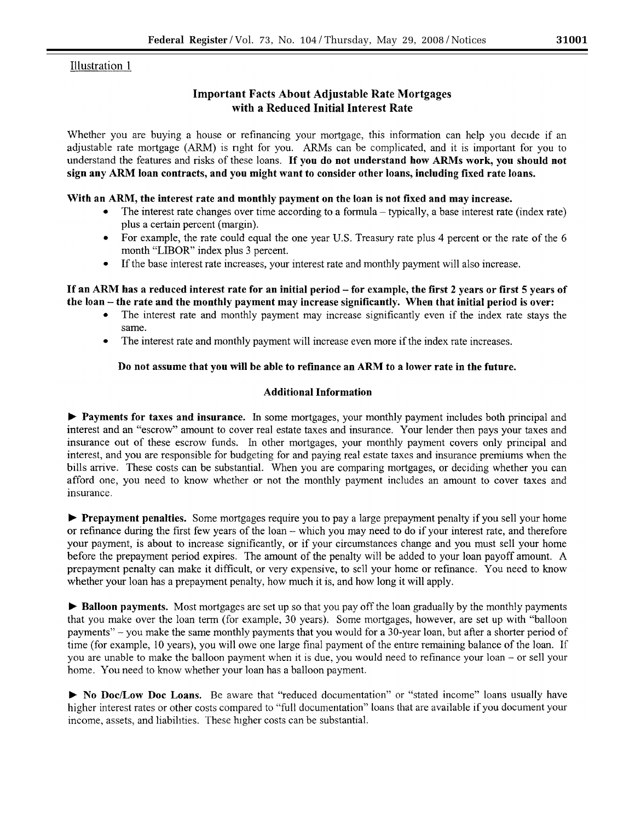# **Illustration 1**

# **Important Facts About Adjustable Rate Mortgages** with a Reduced Initial Interest Rate

Whether you are buying a house or refinancing your mortgage, this information can help you decide if an adjustable rate mortgage (ARM) is right for you. ARMs can be complicated, and it is important for you to understand the features and risks of these loans. If you do not understand how ARMs work, you should not sign any ARM loan contracts, and you might want to consider other loans, including fixed rate loans.

## With an ARM, the interest rate and monthly payment on the loan is not fixed and may increase.

- The interest rate changes over time according to a formula typically, a base interest rate (index rate) plus a certain percent (margin).
- For example, the rate could equal the one year U.S. Treasury rate plus 4 percent or the rate of the 6 month "LIBOR" index plus 3 percent.
- If the base interest rate increases, your interest rate and monthly payment will also increase.  $\bullet$

## If an ARM has a reduced interest rate for an initial period – for example, the first 2 years or first 5 years of the loan – the rate and the monthly payment may increase significantly. When that initial period is over:

- The interest rate and monthly payment may increase significantly even if the index rate stays the same.
- The interest rate and monthly payment will increase even more if the index rate increases.

## Do not assume that you will be able to refinance an ARM to a lower rate in the future.

## **Additional Information**

▶ Payments for taxes and insurance. In some mortgages, your monthly payment includes both principal and interest and an "escrow" amount to cover real estate taxes and insurance. Your lender then pays your taxes and insurance out of these escrow funds. In other mortgages, your monthly payment covers only principal and interest, and you are responsible for budgeting for and paying real estate taxes and insurance premiums when the bills arrive. These costs can be substantial. When you are comparing mortgages, or deciding whether you can afford one, you need to know whether or not the monthly payment includes an amount to cover taxes and insurance.

**• Prepayment penalties.** Some mortgages require you to pay a large prepayment penalty if you sell your home or refinance during the first few years of the loan – which you may need to do if your interest rate, and therefore your payment, is about to increase significantly, or if your circumstances change and you must sell your home before the prepayment period expires. The amount of the penalty will be added to your loan payoff amount. A prepayment penalty can make it difficult, or very expensive, to sell your home or refinance. You need to know whether your loan has a prepayment penalty, how much it is, and how long it will apply.

▶ Balloon payments. Most mortgages are set up so that you pay off the loan gradually by the monthly payments that you make over the loan term (for example, 30 years). Some mortgages, however, are set up with "balloon" payments" – you make the same monthly payments that you would for a 30-year loan, but after a shorter period of time (for example, 10 years), you will owe one large final payment of the entire remaining balance of the loan. If you are unable to make the balloon payment when it is due, you would need to refinance your loan – or sell your home. You need to know whether your loan has a balloon payment.

> No Doc/Low Doc Loans. Be aware that "reduced documentation" or "stated income" loans usually have higher interest rates or other costs compared to "full documentation" loans that are available if you document your income, assets, and liabilities. These higher costs can be substantial.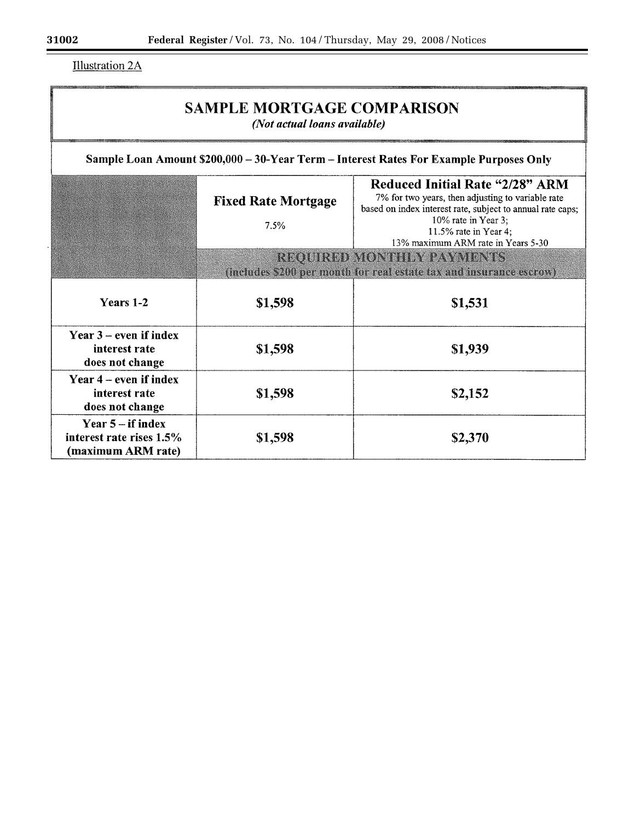**Illustration 2A** 

| <b>SAMPLE MORTGAGE COMPARISON</b><br>(Not actual loans available)                      |                                    |                                                                                                                                                                                                                                                 |  |  |  |  |
|----------------------------------------------------------------------------------------|------------------------------------|-------------------------------------------------------------------------------------------------------------------------------------------------------------------------------------------------------------------------------------------------|--|--|--|--|
| Sample Loan Amount \$200,000 - 30-Year Term - Interest Rates For Example Purposes Only |                                    |                                                                                                                                                                                                                                                 |  |  |  |  |
|                                                                                        | <b>Fixed Rate Mortgage</b><br>7.5% | <b>Reduced Initial Rate "2/28" ARM</b><br>7% for two years, then adjusting to variable rate<br>based on index interest rate, subject to annual rate caps;<br>10% rate in Year 3;<br>11.5% rate in Year 4;<br>13% maximum ARM rate in Years 5-30 |  |  |  |  |
|                                                                                        |                                    | <b>REQUIRED MONTHLY PAYMENTS</b><br>(includes \$200 per month for real estate tax and insurance escrow)                                                                                                                                         |  |  |  |  |
| Years 1-2                                                                              | \$1,598                            | \$1,531                                                                                                                                                                                                                                         |  |  |  |  |
| Year $3$ – even if index<br>interest rate<br>does not change                           | \$1,598                            | \$1,939                                                                                                                                                                                                                                         |  |  |  |  |
| Year $4$ – even if index<br>interest rate<br>does not change                           | \$1,598                            | \$2,152                                                                                                                                                                                                                                         |  |  |  |  |
| Year $5 - if$ index<br>interest rate rises $1.5\%$<br>(maximum ARM rate)               | \$1,598                            | \$2,370                                                                                                                                                                                                                                         |  |  |  |  |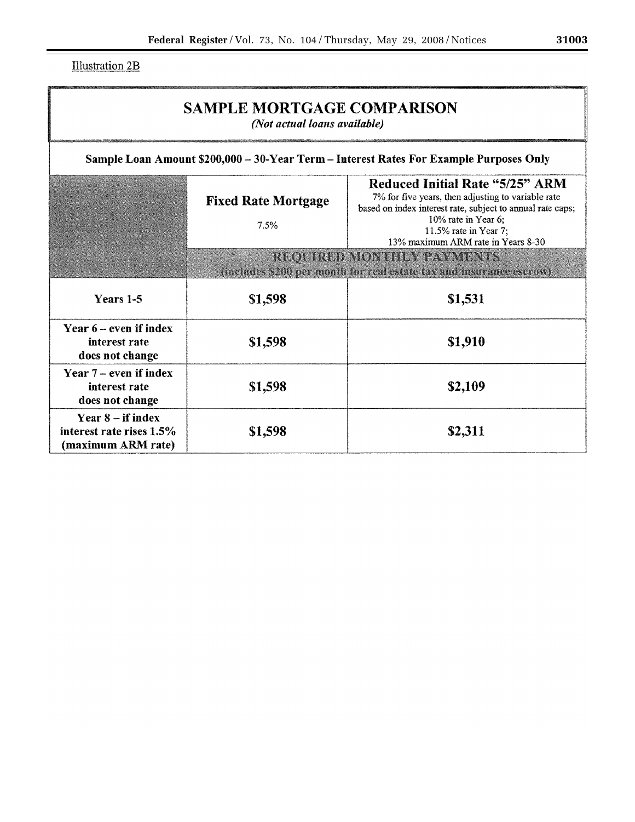**Illustration 2B** 

| <b>SAMPLE MORTGAGE COMPARISON</b><br>(Not actual loans available)                      |                                                                                                         |                                                                                                                                                                                                                                                  |  |  |  |  |
|----------------------------------------------------------------------------------------|---------------------------------------------------------------------------------------------------------|--------------------------------------------------------------------------------------------------------------------------------------------------------------------------------------------------------------------------------------------------|--|--|--|--|
| Sample Loan Amount \$200,000 - 30-Year Term - Interest Rates For Example Purposes Only |                                                                                                         |                                                                                                                                                                                                                                                  |  |  |  |  |
|                                                                                        | <b>Fixed Rate Mortgage</b><br>7.5%                                                                      | <b>Reduced Initial Rate "5/25" ARM</b><br>7% for five years, then adjusting to variable rate<br>based on index interest rate, subject to annual rate caps;<br>10% rate in Year 6;<br>11.5% rate in Year 7;<br>13% maximum ARM rate in Years 8-30 |  |  |  |  |
|                                                                                        | <b>REQUIRED MONTHLY PAYMENTS</b><br>(includes \$200 per month for real estate tax and insurance escrow) |                                                                                                                                                                                                                                                  |  |  |  |  |
| Years 1-5                                                                              | \$1,598                                                                                                 | \$1,531                                                                                                                                                                                                                                          |  |  |  |  |
| Year 6 – even if index<br>interest rate<br>does not change                             | \$1,598                                                                                                 | \$1,910                                                                                                                                                                                                                                          |  |  |  |  |
| Year $7$ – even if index<br>interest rate<br>does not change                           | \$1,598                                                                                                 | \$2,109                                                                                                                                                                                                                                          |  |  |  |  |
| Year $8 - if index$<br>interest rate rises 1.5%<br>(maximum ARM rate)                  | \$1,598                                                                                                 | \$2,311                                                                                                                                                                                                                                          |  |  |  |  |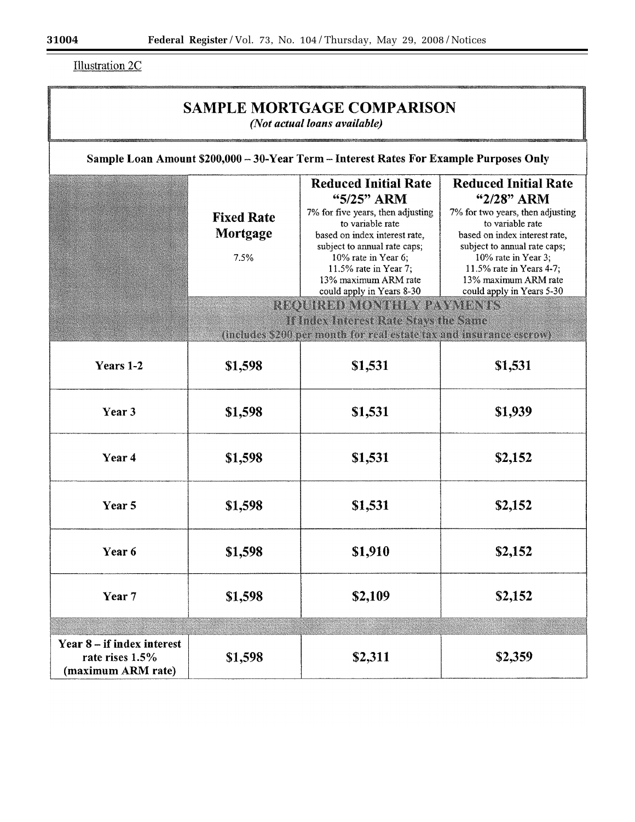$\equiv$ 

**Illustration 2C** 

| <b>SAMPLE MORTGAGE COMPARISON</b><br>(Not actual loans available)                      |                                       |                                                                                                                                                                                                                                                                                                                                                |                                                                                                                                                                                                                                                                            |  |  |
|----------------------------------------------------------------------------------------|---------------------------------------|------------------------------------------------------------------------------------------------------------------------------------------------------------------------------------------------------------------------------------------------------------------------------------------------------------------------------------------------|----------------------------------------------------------------------------------------------------------------------------------------------------------------------------------------------------------------------------------------------------------------------------|--|--|
| Sample Loan Amount \$200,000 - 30-Year Term - Interest Rates For Example Purposes Only |                                       |                                                                                                                                                                                                                                                                                                                                                |                                                                                                                                                                                                                                                                            |  |  |
|                                                                                        | <b>Fixed Rate</b><br>Mortgage<br>7.5% | <b>Reduced Initial Rate</b><br>"5/25" ARM<br>7% for five years, then adjusting<br>to variable rate<br>based on index interest rate,<br>subject to annual rate caps;<br>10% rate in Year 6;<br>11.5% rate in Year 7;<br>13% maximum ARM rate<br>could apply in Years 8-30<br>REQUIRED MONTHEY PAYMENTS<br>If Index Interest Rate Stays the Same | <b>Reduced Initial Rate</b><br>"2/28" ARM<br>7% for two years, then adjusting<br>to variable rate<br>based on index interest rate,<br>subject to annual rate caps;<br>10% rate in Year 3;<br>11.5% rate in Years 4-7;<br>13% maximum ARM rate<br>could apply in Years 5-30 |  |  |
|                                                                                        |                                       | (includes \$200 per month for real estate tax and insurance escrow)                                                                                                                                                                                                                                                                            |                                                                                                                                                                                                                                                                            |  |  |
| Years 1-2                                                                              | \$1,598                               | \$1,531                                                                                                                                                                                                                                                                                                                                        | \$1,531                                                                                                                                                                                                                                                                    |  |  |
| Year 3                                                                                 | \$1,598                               | \$1,531                                                                                                                                                                                                                                                                                                                                        | \$1,939                                                                                                                                                                                                                                                                    |  |  |
| Year 4                                                                                 | \$1,598                               | \$1,531                                                                                                                                                                                                                                                                                                                                        | \$2,152                                                                                                                                                                                                                                                                    |  |  |
| Year 5                                                                                 | \$1,598                               | \$1,531                                                                                                                                                                                                                                                                                                                                        | \$2,152                                                                                                                                                                                                                                                                    |  |  |
| Year 6                                                                                 | \$1,598                               | \$1,910                                                                                                                                                                                                                                                                                                                                        | \$2,152                                                                                                                                                                                                                                                                    |  |  |
| Year 7                                                                                 | \$1,598                               | \$2,109                                                                                                                                                                                                                                                                                                                                        | \$2,152                                                                                                                                                                                                                                                                    |  |  |
| Year 8 – if index interest<br>rate rises 1.5%<br>(maximum ARM rate)                    | \$1,598                               | \$2,311                                                                                                                                                                                                                                                                                                                                        | \$2,359                                                                                                                                                                                                                                                                    |  |  |